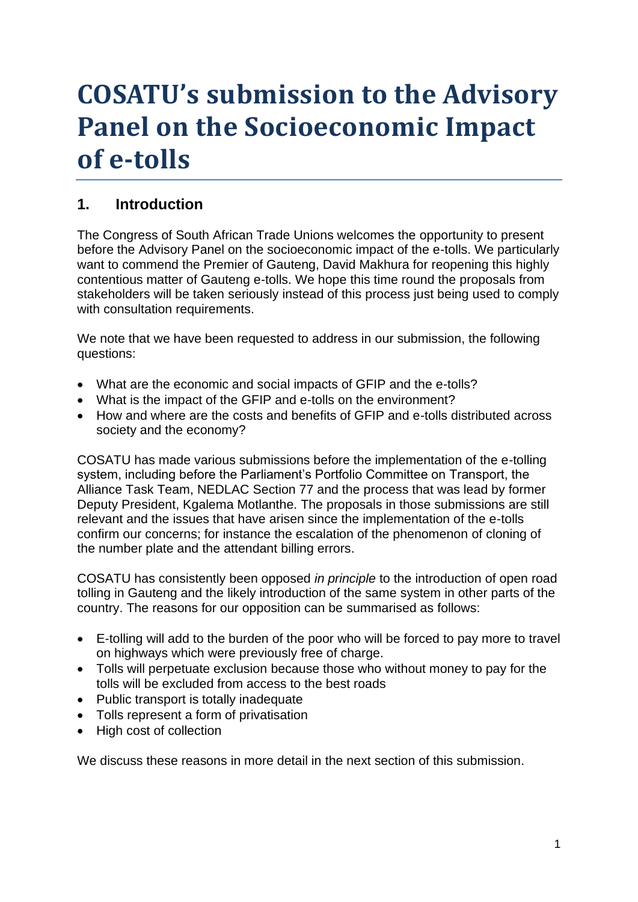# **COSATU's submission to the Advisory Panel on the Socioeconomic Impact of e-tolls**

# **1. Introduction**

The Congress of South African Trade Unions welcomes the opportunity to present before the Advisory Panel on the socioeconomic impact of the e-tolls. We particularly want to commend the Premier of Gauteng, David Makhura for reopening this highly contentious matter of Gauteng e-tolls. We hope this time round the proposals from stakeholders will be taken seriously instead of this process just being used to comply with consultation requirements.

We note that we have been requested to address in our submission, the following questions:

- What are the economic and social impacts of GFIP and the e-tolls?
- What is the impact of the GFIP and e-tolls on the environment?
- How and where are the costs and benefits of GFIP and e-tolls distributed across society and the economy?

COSATU has made various submissions before the implementation of the e-tolling system, including before the Parliament's Portfolio Committee on Transport, the Alliance Task Team, NEDLAC Section 77 and the process that was lead by former Deputy President, Kgalema Motlanthe. The proposals in those submissions are still relevant and the issues that have arisen since the implementation of the e-tolls confirm our concerns; for instance the escalation of the phenomenon of cloning of the number plate and the attendant billing errors.

COSATU has consistently been opposed *in principle* to the introduction of open road tolling in Gauteng and the likely introduction of the same system in other parts of the country. The reasons for our opposition can be summarised as follows:

- E-tolling will add to the burden of the poor who will be forced to pay more to travel on highways which were previously free of charge.
- Tolls will perpetuate exclusion because those who without money to pay for the tolls will be excluded from access to the best roads
- Public transport is totally inadequate
- Tolls represent a form of privatisation
- High cost of collection

We discuss these reasons in more detail in the next section of this submission.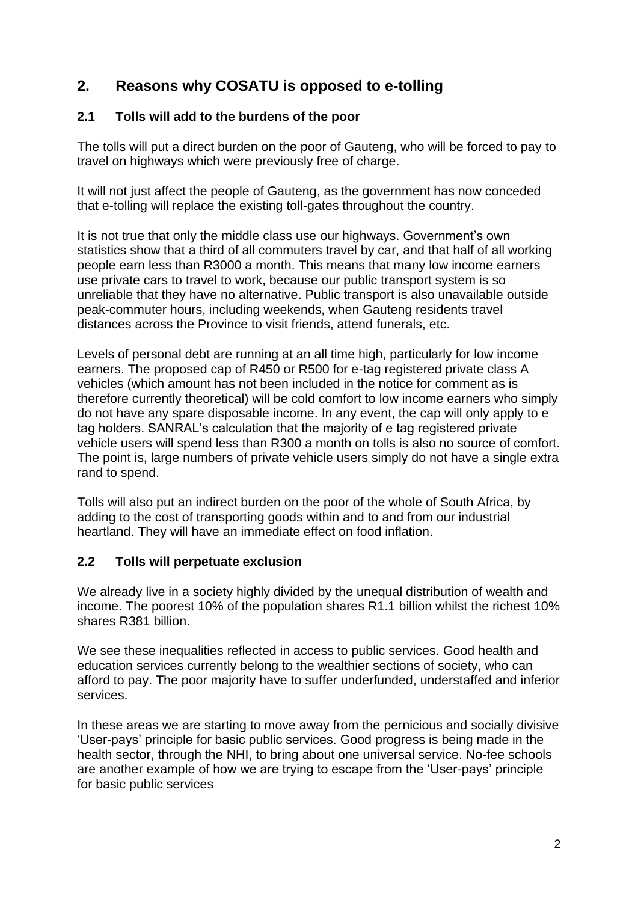# **2. Reasons why COSATU is opposed to e-tolling**

### **2.1 Tolls will add to the burdens of the poor**

The tolls will put a direct burden on the poor of Gauteng, who will be forced to pay to travel on highways which were previously free of charge.

It will not just affect the people of Gauteng, as the government has now conceded that e-tolling will replace the existing toll-gates throughout the country.

It is not true that only the middle class use our highways. Government's own statistics show that a third of all commuters travel by car, and that half of all working people earn less than R3000 a month. This means that many low income earners use private cars to travel to work, because our public transport system is so unreliable that they have no alternative. Public transport is also unavailable outside peak-commuter hours, including weekends, when Gauteng residents travel distances across the Province to visit friends, attend funerals, etc.

Levels of personal debt are running at an all time high, particularly for low income earners. The proposed cap of R450 or R500 for e-tag registered private class A vehicles (which amount has not been included in the notice for comment as is therefore currently theoretical) will be cold comfort to low income earners who simply do not have any spare disposable income. In any event, the cap will only apply to e tag holders. SANRAL's calculation that the majority of e tag registered private vehicle users will spend less than R300 a month on tolls is also no source of comfort. The point is, large numbers of private vehicle users simply do not have a single extra rand to spend.

Tolls will also put an indirect burden on the poor of the whole of South Africa, by adding to the cost of transporting goods within and to and from our industrial heartland. They will have an immediate effect on food inflation.

#### **2.2 Tolls will perpetuate exclusion**

We already live in a society highly divided by the unequal distribution of wealth and income. The poorest 10% of the population shares R1.1 billion whilst the richest 10% shares R381 billion.

We see these inequalities reflected in access to public services. Good health and education services currently belong to the wealthier sections of society, who can afford to pay. The poor majority have to suffer underfunded, understaffed and inferior services.

In these areas we are starting to move away from the pernicious and socially divisive 'User-pays' principle for basic public services. Good progress is being made in the health sector, through the NHI, to bring about one universal service. No-fee schools are another example of how we are trying to escape from the 'User-pays' principle for basic public services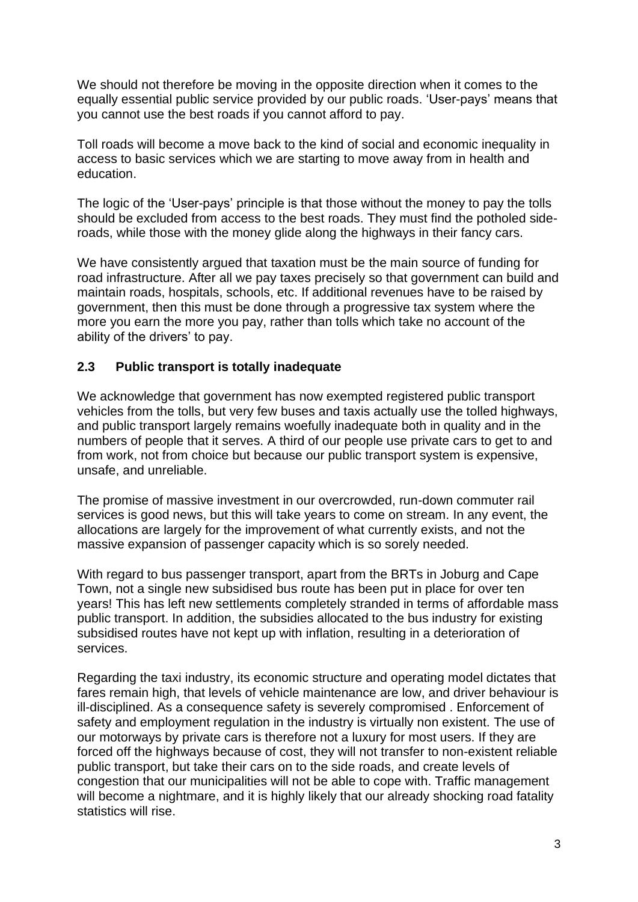We should not therefore be moving in the opposite direction when it comes to the equally essential public service provided by our public roads. 'User-pays' means that you cannot use the best roads if you cannot afford to pay.

Toll roads will become a move back to the kind of social and economic inequality in access to basic services which we are starting to move away from in health and education.

The logic of the 'User-pays' principle is that those without the money to pay the tolls should be excluded from access to the best roads. They must find the potholed sideroads, while those with the money glide along the highways in their fancy cars.

We have consistently argued that taxation must be the main source of funding for road infrastructure. After all we pay taxes precisely so that government can build and maintain roads, hospitals, schools, etc. If additional revenues have to be raised by government, then this must be done through a progressive tax system where the more you earn the more you pay, rather than tolls which take no account of the ability of the drivers' to pay.

#### **2.3 Public transport is totally inadequate**

We acknowledge that government has now exempted registered public transport vehicles from the tolls, but very few buses and taxis actually use the tolled highways, and public transport largely remains woefully inadequate both in quality and in the numbers of people that it serves. A third of our people use private cars to get to and from work, not from choice but because our public transport system is expensive, unsafe, and unreliable.

The promise of massive investment in our overcrowded, run-down commuter rail services is good news, but this will take years to come on stream. In any event, the allocations are largely for the improvement of what currently exists, and not the massive expansion of passenger capacity which is so sorely needed.

With regard to bus passenger transport, apart from the BRTs in Joburg and Cape Town, not a single new subsidised bus route has been put in place for over ten years! This has left new settlements completely stranded in terms of affordable mass public transport. In addition, the subsidies allocated to the bus industry for existing subsidised routes have not kept up with inflation, resulting in a deterioration of services.

Regarding the taxi industry, its economic structure and operating model dictates that fares remain high, that levels of vehicle maintenance are low, and driver behaviour is ill-disciplined. As a consequence safety is severely compromised . Enforcement of safety and employment regulation in the industry is virtually non existent. The use of our motorways by private cars is therefore not a luxury for most users. If they are forced off the highways because of cost, they will not transfer to non-existent reliable public transport, but take their cars on to the side roads, and create levels of congestion that our municipalities will not be able to cope with. Traffic management will become a nightmare, and it is highly likely that our already shocking road fatality statistics will rise.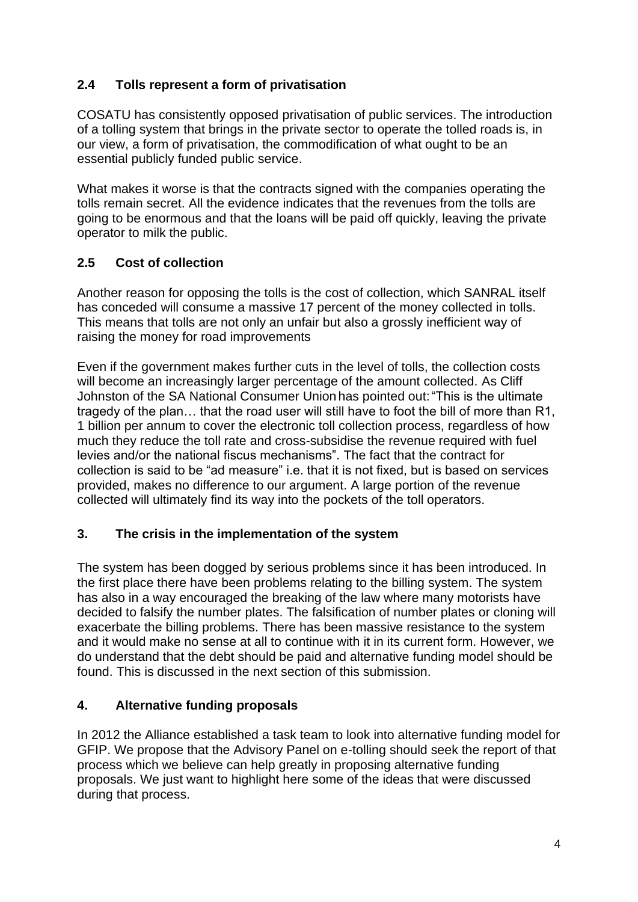# **2.4 Tolls represent a form of privatisation**

COSATU has consistently opposed privatisation of public services. The introduction of a tolling system that brings in the private sector to operate the tolled roads is, in our view, a form of privatisation, the commodification of what ought to be an essential publicly funded public service.

What makes it worse is that the contracts signed with the companies operating the tolls remain secret. All the evidence indicates that the revenues from the tolls are going to be enormous and that the loans will be paid off quickly, leaving the private operator to milk the public.

# **2.5 Cost of collection**

Another reason for opposing the tolls is the cost of collection, which SANRAL itself has conceded will consume a massive 17 percent of the money collected in tolls. This means that tolls are not only an unfair but also a grossly inefficient way of raising the money for road improvements

Even if the government makes further cuts in the level of tolls, the collection costs will become an increasingly larger percentage of the amount collected. As Cliff Johnston of the SA National Consumer Union has pointed out:"This is the ultimate tragedy of the plan… that the road user will still have to foot the bill of more than R1, 1 billion per annum to cover the electronic toll collection process, regardless of how much they reduce the toll rate and cross-subsidise the revenue required with fuel levies and/or the national fiscus mechanisms". The fact that the contract for collection is said to be "ad measure" i.e. that it is not fixed, but is based on services provided, makes no difference to our argument. A large portion of the revenue collected will ultimately find its way into the pockets of the toll operators.

# **3. The crisis in the implementation of the system**

The system has been dogged by serious problems since it has been introduced. In the first place there have been problems relating to the billing system. The system has also in a way encouraged the breaking of the law where many motorists have decided to falsify the number plates. The falsification of number plates or cloning will exacerbate the billing problems. There has been massive resistance to the system and it would make no sense at all to continue with it in its current form. However, we do understand that the debt should be paid and alternative funding model should be found. This is discussed in the next section of this submission.

# **4. Alternative funding proposals**

In 2012 the Alliance established a task team to look into alternative funding model for GFIP. We propose that the Advisory Panel on e-tolling should seek the report of that process which we believe can help greatly in proposing alternative funding proposals. We just want to highlight here some of the ideas that were discussed during that process.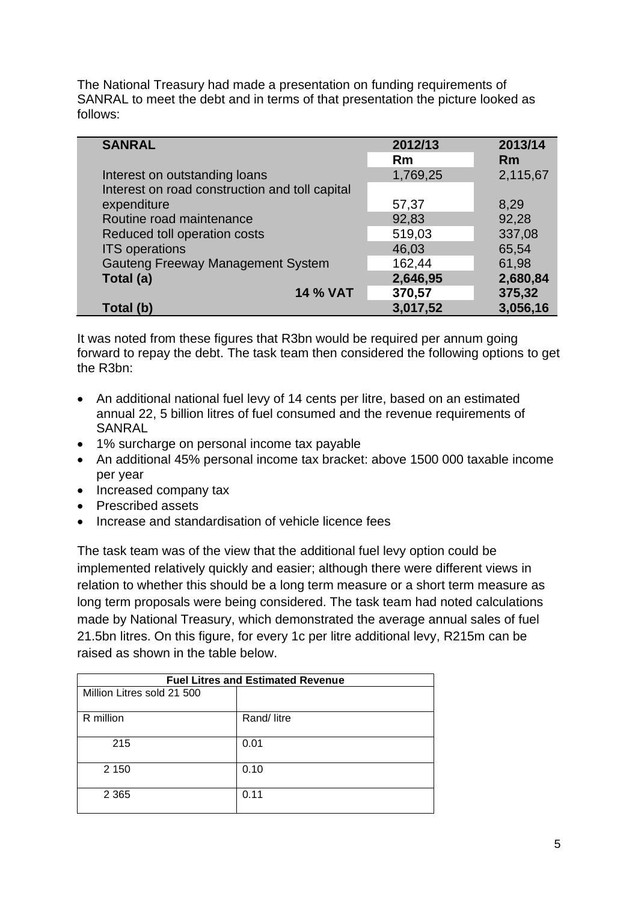The National Treasury had made a presentation on funding requirements of SANRAL to meet the debt and in terms of that presentation the picture looked as follows:

| <b>SANRAL</b>                                  | 2012/13<br>Rm | 2013/14<br>Rm |
|------------------------------------------------|---------------|---------------|
| Interest on outstanding loans                  | 1,769,25      | 2,115,67      |
| Interest on road construction and toll capital |               |               |
| expenditure                                    | 57,37         | 8,29          |
| Routine road maintenance                       | 92,83         | 92,28         |
| Reduced toll operation costs                   | 519,03        | 337,08        |
| <b>ITS</b> operations                          | 46,03         | 65,54         |
| <b>Gauteng Freeway Management System</b>       | 162,44        | 61,98         |
| Total (a)                                      | 2,646,95      | 2,680,84      |
| <b>14 % VAT</b>                                | 370,57        | 375,32        |
| Total (b)                                      | 3,017,52      | 3,056,16      |

It was noted from these figures that R3bn would be required per annum going forward to repay the debt. The task team then considered the following options to get the R3bn:

- An additional national fuel levy of 14 cents per litre, based on an estimated annual 22, 5 billion litres of fuel consumed and the revenue requirements of SANRAL
- 1% surcharge on personal income tax payable
- An additional 45% personal income tax bracket: above 1500 000 taxable income per year
- Increased company tax
- Prescribed assets
- Increase and standardisation of vehicle licence fees

The task team was of the view that the additional fuel levy option could be implemented relatively quickly and easier; although there were different views in relation to whether this should be a long term measure or a short term measure as long term proposals were being considered. The task team had noted calculations made by National Treasury, which demonstrated the average annual sales of fuel 21.5bn litres. On this figure, for every 1c per litre additional levy, R215m can be raised as shown in the table below.

| <b>Fuel Litres and Estimated Revenue</b> |            |  |
|------------------------------------------|------------|--|
| Million Litres sold 21 500               |            |  |
| R million                                | Rand/litre |  |
| 215                                      | 0.01       |  |
| 2 1 5 0                                  | 0.10       |  |
| 2 3 6 5                                  | 0.11       |  |